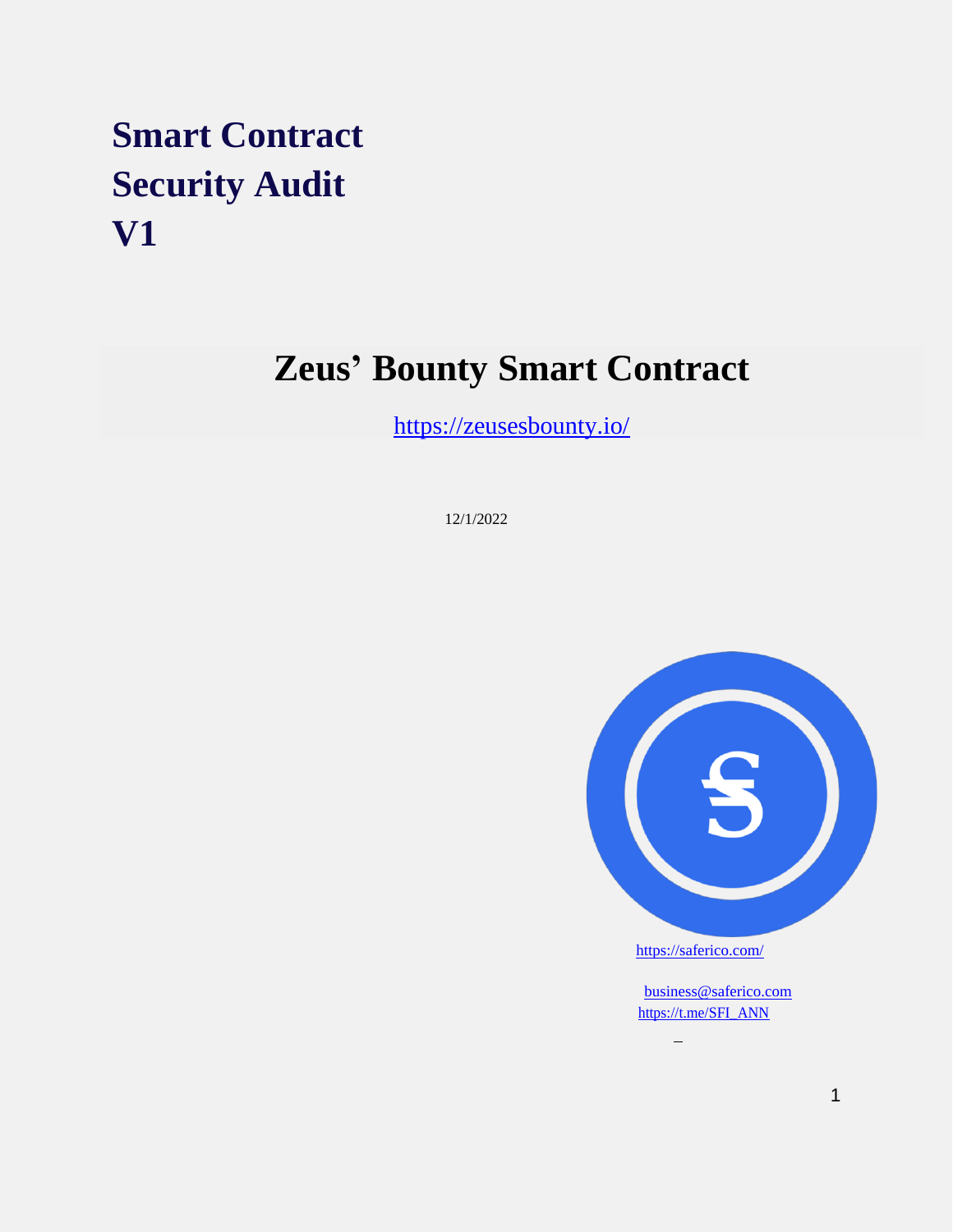# **Smart Contract Security Audit V1**

# **Zeus' Bounty Smart Contract**

<https://zeusesbounty.io/>

12/1/2022



<https://saferico.com/>

 $\overline{\phantom{0}}$ 

[business@saferico.com](mailto:business@saferico.com) [https://t.me/SFI\\_ANN](https://t.me/SFI_ANNg)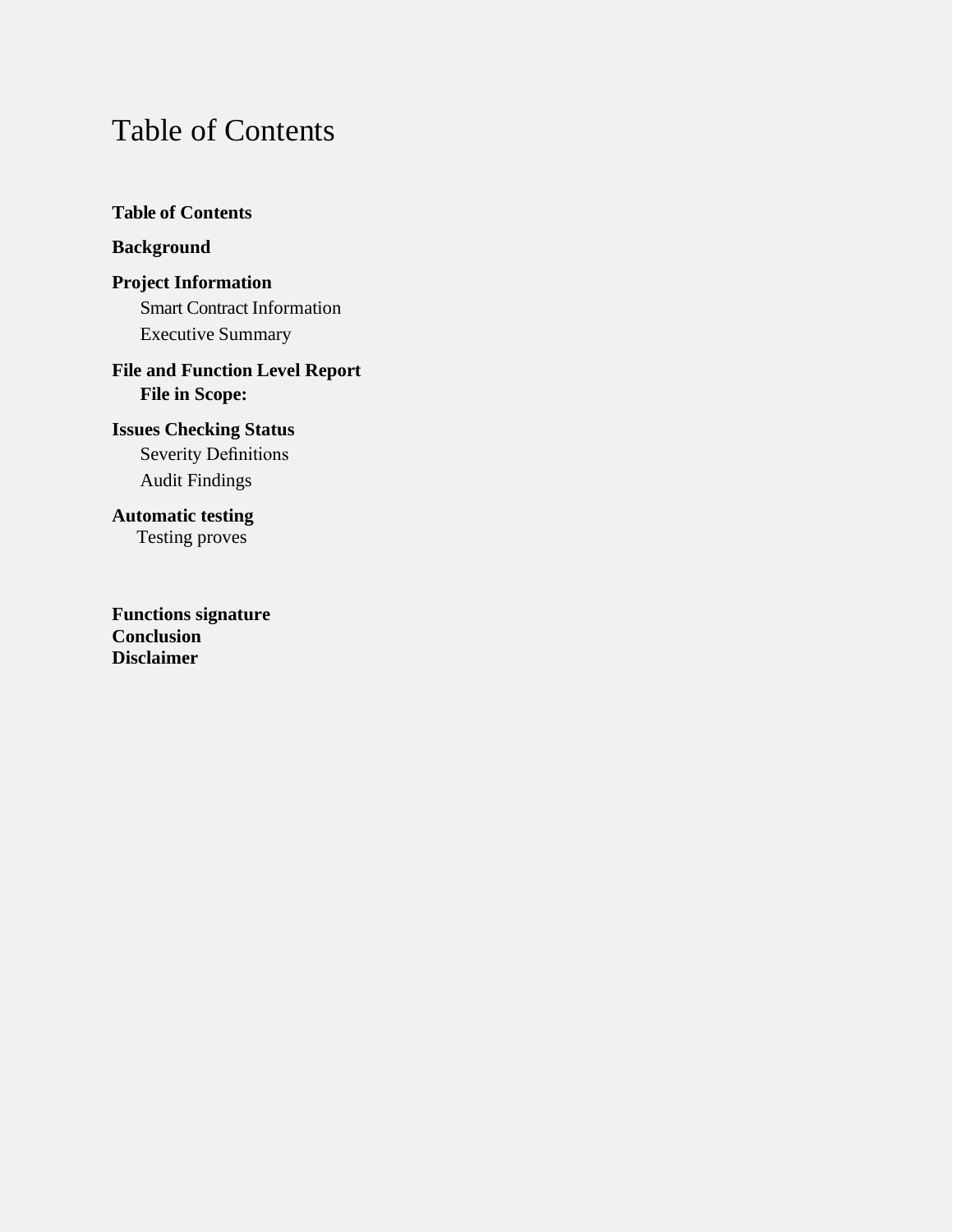## <span id="page-1-0"></span>Table of Contents

**Table [of Contents](#page-1-0)**

#### **[Background](#page-2-0)**

**Project [Information](#page-2-1)** Smart Contract Information [Executive](#page-3-0) Summary

#### **File and Function Level Report File in [Scope:](#page-4-0)**

**Issues [Checking Status](#page-5-0)** Severity Definitions Audit Findings

**Automatic testing** Testing proves

**Functions signature Conclusion Disclaimer**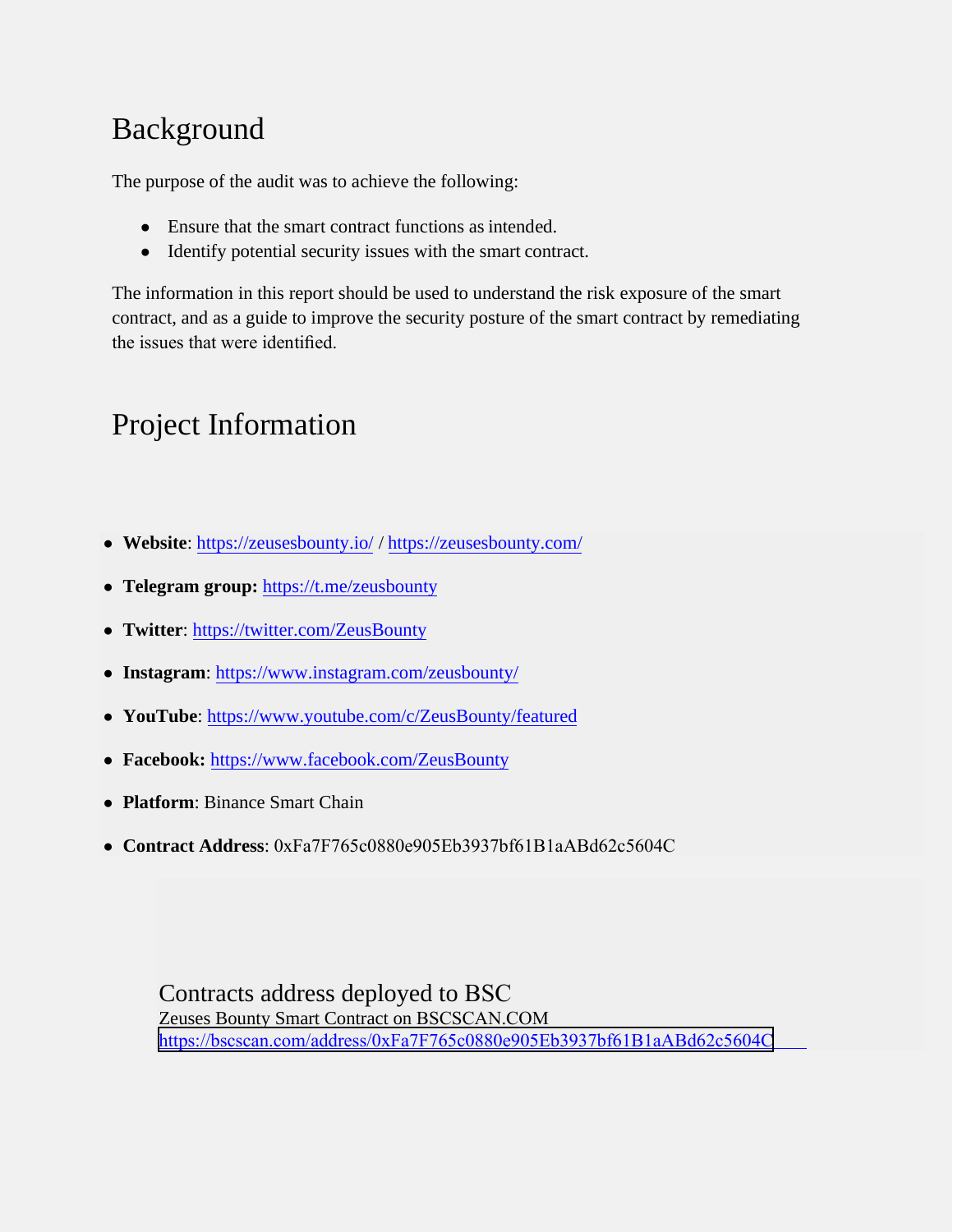# <span id="page-2-0"></span>Background

The purpose of the audit was to achieve the following:

- Ensure that the smart contract functions as intended.
- Identify potential security issues with the smart contract.

The information in this report should be used to understand the risk exposure of the smart contract, and as a guide to improve the security posture of the smart contract by remediating the issues that were identified.

# <span id="page-2-1"></span>Project Information

- **Website**:<https://zeusesbounty.io/>/ <https://zeusesbounty.com/>
- **Telegram group:** <https://t.me/zeusbounty>
- **Twitter**:<https://twitter.com/ZeusBounty>
- **Instagram**:<https://www.instagram.com/zeusbounty/>
- **YouTube**:<https://www.youtube.com/c/ZeusBounty/featured>
- **Facebook:** <https://www.facebook.com/ZeusBounty>
- **Platform**: Binance Smart Chain
- **Contract Address**: 0xFa7F765c0880e905Eb3937bf61B1aABd62c5604C

Contracts address deployed to BSC Zeuses Bounty Smart Contract on BSCSCAN.COM [https://bscscan.com/address/0xFa7F765c0880e905Eb3937bf61B1aABd62c5604C](https://testnet.bscscan.com/address/0xfbd731bd592bc05e2a509c525703b473d9f03975)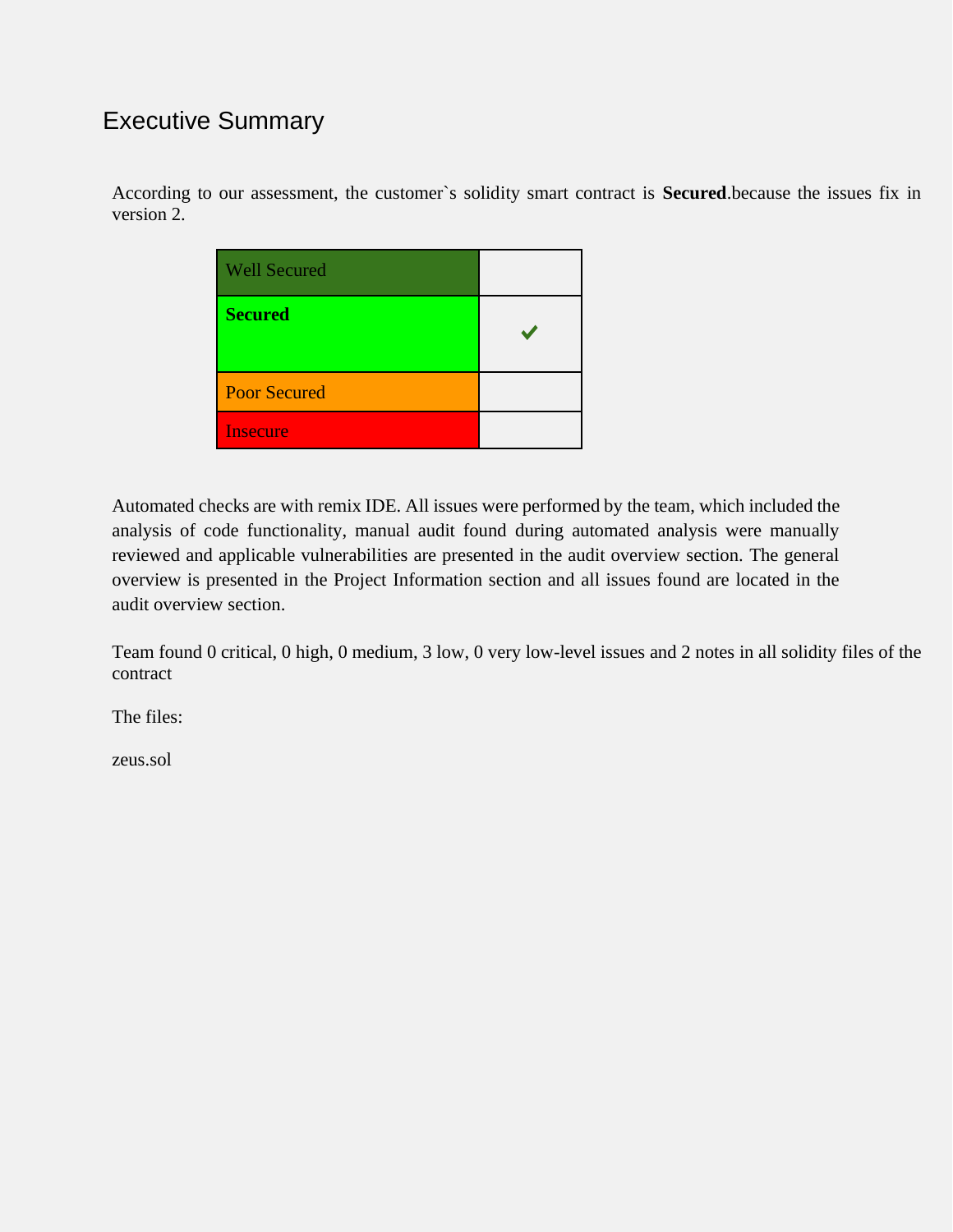### <span id="page-3-0"></span>Executive Summary

According to our assessment, the customer`s solidity smart contract is **Secured**.because the issues fix in version 2.

| <b>Well Secured</b> |  |
|---------------------|--|
| <b>Secured</b>      |  |
| <b>Poor Secured</b> |  |
| <b>Insecure</b>     |  |

Automated checks are with remix IDE. All issues were performed by the team, which included the analysis of code functionality, manual audit found during automated analysis were manually reviewed and applicable vulnerabilities are presented in the audit overview section. The general overview is presented in the Project Information section and all issues found are located in the audit overview section.

Team found 0 critical, 0 high, 0 medium, 3 low, 0 very low-level issues and 2 notes in all solidity files of the contract

The files:

zeus.sol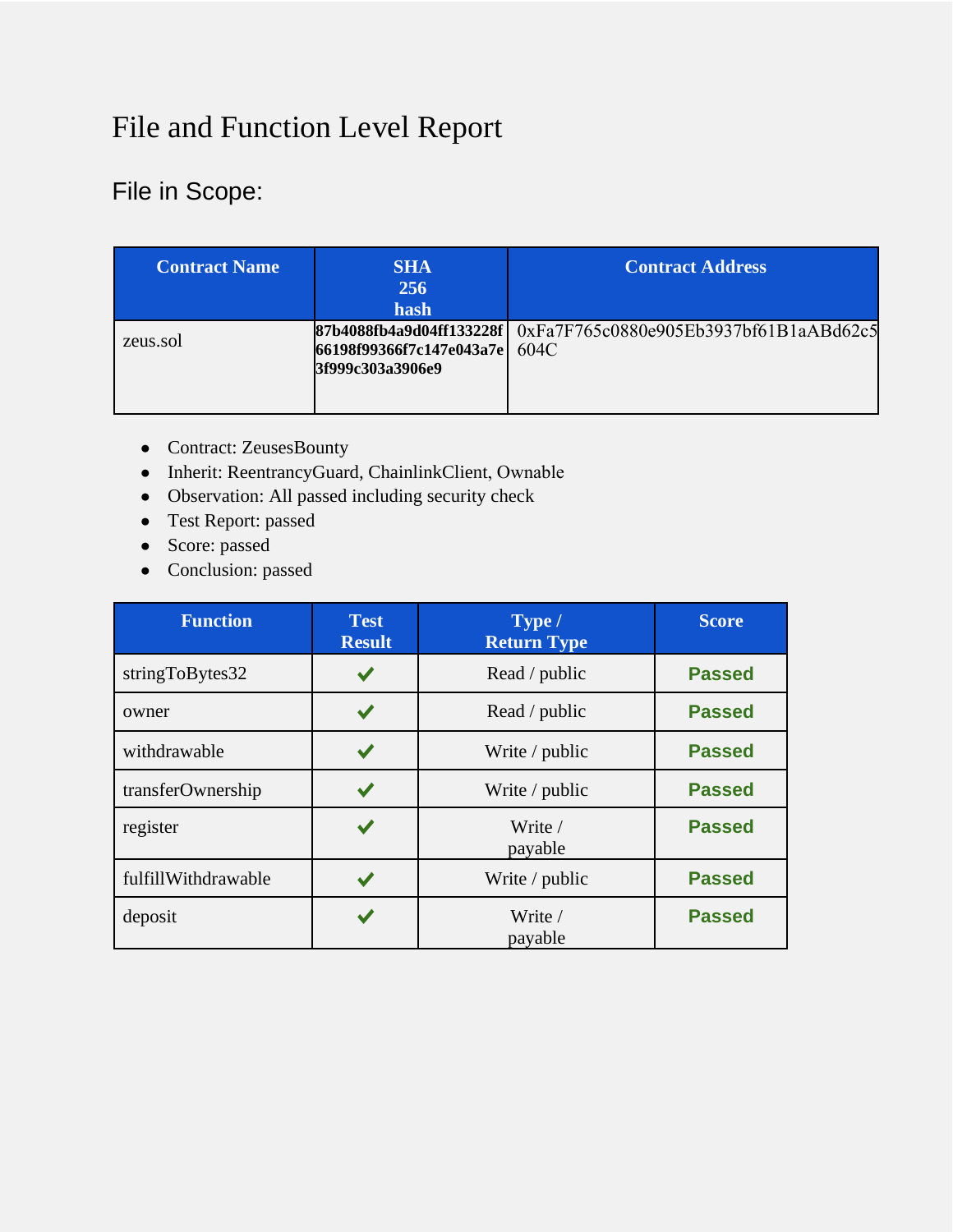# File and Function Level Report

### <span id="page-4-0"></span>File in Scope:

| <b>Contract Name</b> | <b>SHA</b><br>256<br>hash                         | <b>Contract Address</b>                                           |
|----------------------|---------------------------------------------------|-------------------------------------------------------------------|
| zeus.sol             | 66198f99366f7c147e043a7e 604C<br>3f999c303a3906e9 | 87b4088fb4a9d04ff133228f   0xFa7F765c0880e905Eb3937bf61B1aABd62c5 |

- Contract: ZeusesBounty
- Inherit: ReentrancyGuard, ChainlinkClient, Ownable
- Observation: All passed including security check
- Test Report: passed
- Score: passed
- Conclusion: passed

| <b>Function</b>     | <b>Test</b><br><b>Result</b> | Type /<br><b>Return Type</b> | <b>Score</b>  |
|---------------------|------------------------------|------------------------------|---------------|
| stringToBytes32     |                              | Read / public                | <b>Passed</b> |
| owner               |                              | Read / public                | <b>Passed</b> |
| withdrawable        |                              | Write / public               | <b>Passed</b> |
| transferOwnership   |                              | Write / public               | <b>Passed</b> |
| register            |                              | Write /<br>payable           | <b>Passed</b> |
| fulfillWithdrawable |                              | Write / public               | <b>Passed</b> |
| deposit             |                              | Write /<br>payable           | <b>Passed</b> |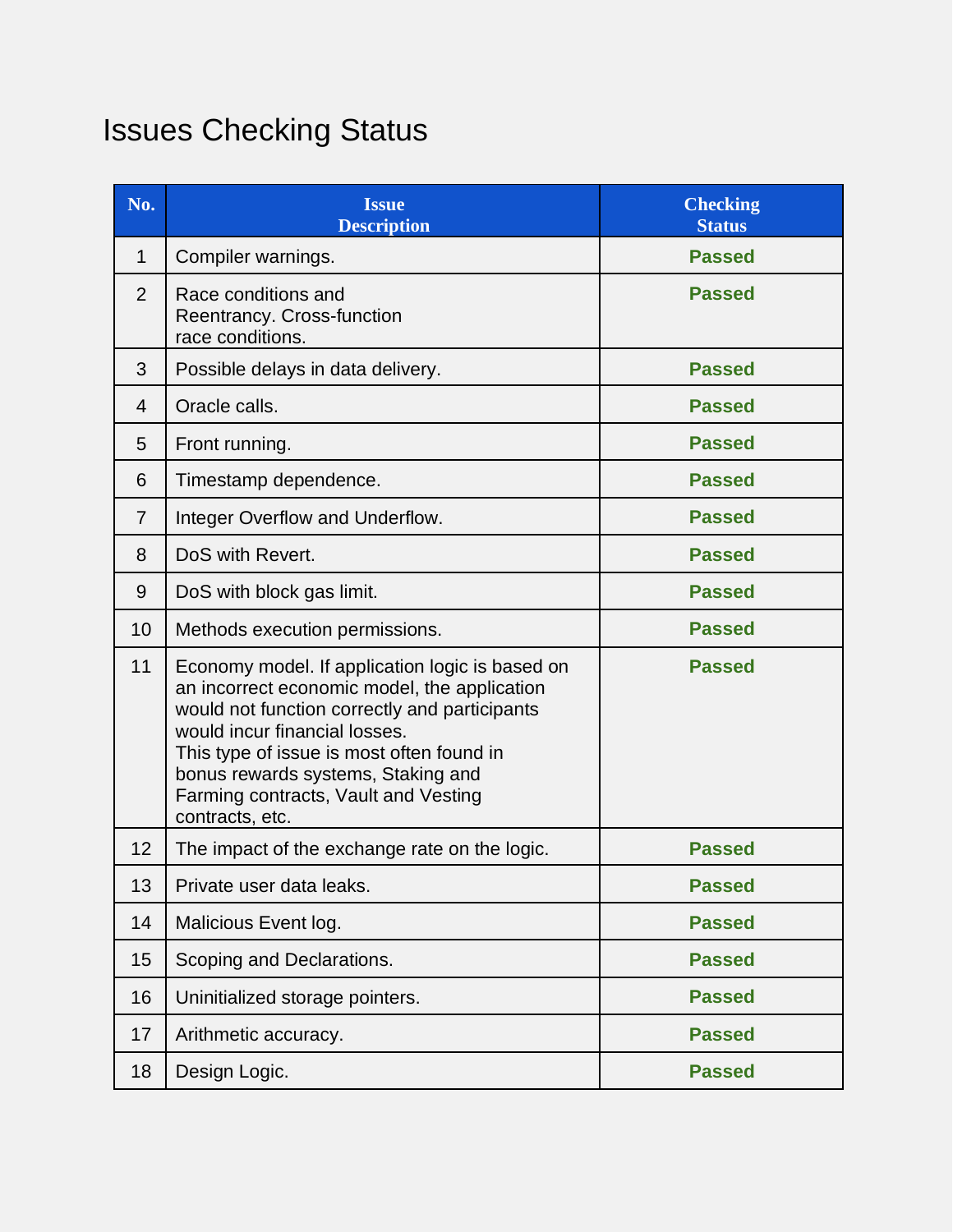# <span id="page-5-0"></span>Issues Checking Status

| No.            | <b>Issue</b><br><b>Description</b>                                                                                                                                                                                                                                                                                                               | <b>Checking</b><br><b>Status</b> |
|----------------|--------------------------------------------------------------------------------------------------------------------------------------------------------------------------------------------------------------------------------------------------------------------------------------------------------------------------------------------------|----------------------------------|
| 1              | Compiler warnings.                                                                                                                                                                                                                                                                                                                               | <b>Passed</b>                    |
| 2              | Race conditions and<br>Reentrancy. Cross-function<br>race conditions.                                                                                                                                                                                                                                                                            | <b>Passed</b>                    |
| 3              | Possible delays in data delivery.                                                                                                                                                                                                                                                                                                                | <b>Passed</b>                    |
| $\overline{4}$ | Oracle calls.                                                                                                                                                                                                                                                                                                                                    | <b>Passed</b>                    |
| 5              | Front running.                                                                                                                                                                                                                                                                                                                                   | <b>Passed</b>                    |
| 6              | Timestamp dependence.                                                                                                                                                                                                                                                                                                                            | <b>Passed</b>                    |
| $\overline{7}$ | Integer Overflow and Underflow.                                                                                                                                                                                                                                                                                                                  | <b>Passed</b>                    |
| 8              | DoS with Revert.                                                                                                                                                                                                                                                                                                                                 | <b>Passed</b>                    |
| 9              | DoS with block gas limit.                                                                                                                                                                                                                                                                                                                        | <b>Passed</b>                    |
| 10             | Methods execution permissions.                                                                                                                                                                                                                                                                                                                   | <b>Passed</b>                    |
| 11             | Economy model. If application logic is based on<br><b>Passed</b><br>an incorrect economic model, the application<br>would not function correctly and participants<br>would incur financial losses.<br>This type of issue is most often found in<br>bonus rewards systems, Staking and<br>Farming contracts, Vault and Vesting<br>contracts, etc. |                                  |
| 12             | The impact of the exchange rate on the logic.                                                                                                                                                                                                                                                                                                    | <b>Passed</b>                    |
| 13             | Private user data leaks.                                                                                                                                                                                                                                                                                                                         | <b>Passed</b>                    |
| 14             | Malicious Event log.                                                                                                                                                                                                                                                                                                                             | <b>Passed</b>                    |
| 15             | Scoping and Declarations.                                                                                                                                                                                                                                                                                                                        | <b>Passed</b>                    |
| 16             | Uninitialized storage pointers.                                                                                                                                                                                                                                                                                                                  | <b>Passed</b>                    |
| 17             | Arithmetic accuracy.                                                                                                                                                                                                                                                                                                                             | <b>Passed</b>                    |
| 18             | Design Logic.                                                                                                                                                                                                                                                                                                                                    | <b>Passed</b>                    |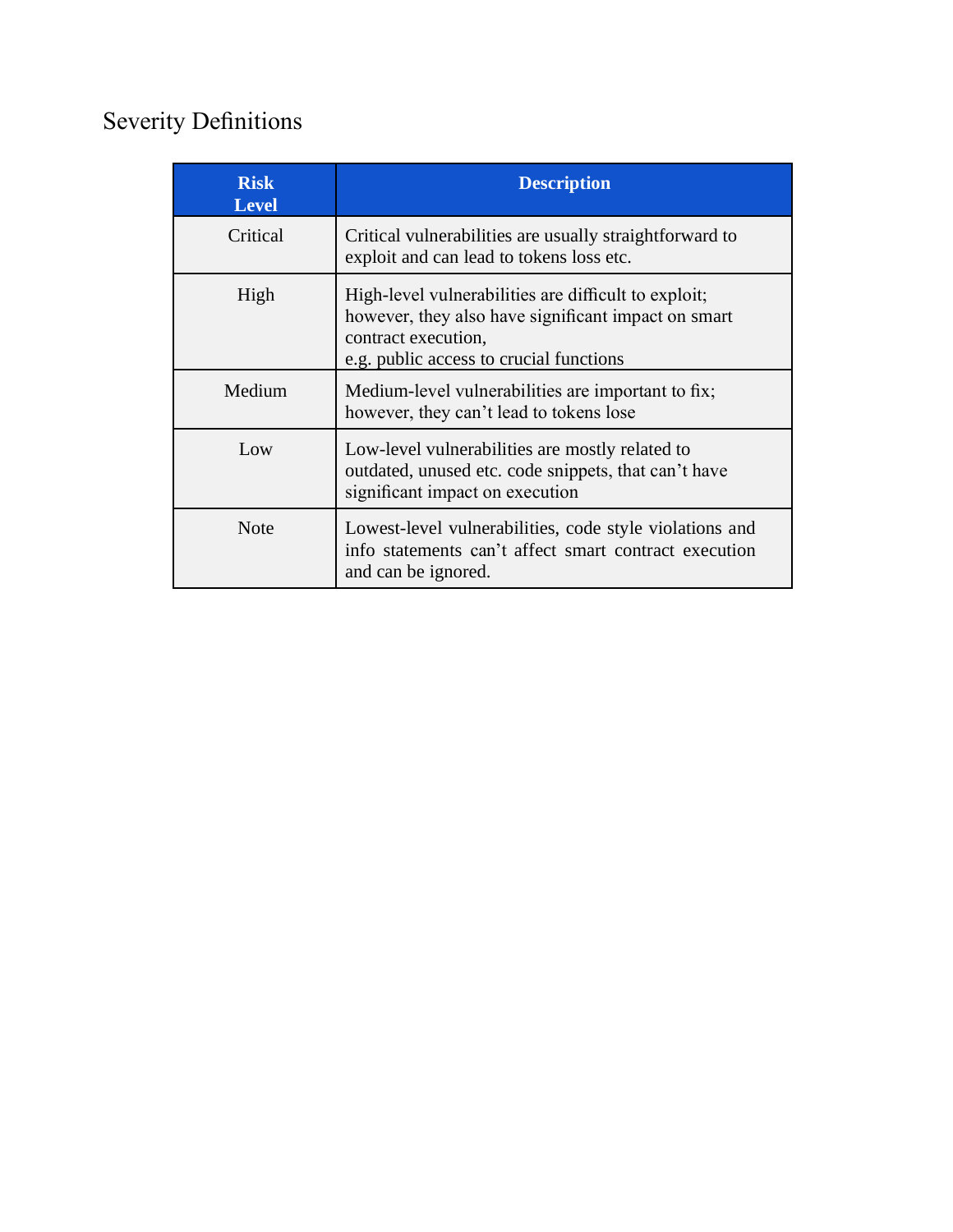# Severity Definitions

| <b>Risk</b><br><b>Level</b> | <b>Description</b>                                                                                                                                                            |  |
|-----------------------------|-------------------------------------------------------------------------------------------------------------------------------------------------------------------------------|--|
| Critical                    | Critical vulnerabilities are usually straightforward to<br>exploit and can lead to tokens loss etc.                                                                           |  |
| High                        | High-level vulnerabilities are difficult to exploit;<br>however, they also have significant impact on smart<br>contract execution,<br>e.g. public access to crucial functions |  |
| Medium                      | Medium-level vulnerabilities are important to fix;<br>however, they can't lead to tokens lose                                                                                 |  |
| Low                         | Low-level vulnerabilities are mostly related to<br>outdated, unused etc. code snippets, that can't have<br>significant impact on execution                                    |  |
| <b>Note</b>                 | Lowest-level vulnerabilities, code style violations and<br>info statements can't affect smart contract execution<br>and can be ignored.                                       |  |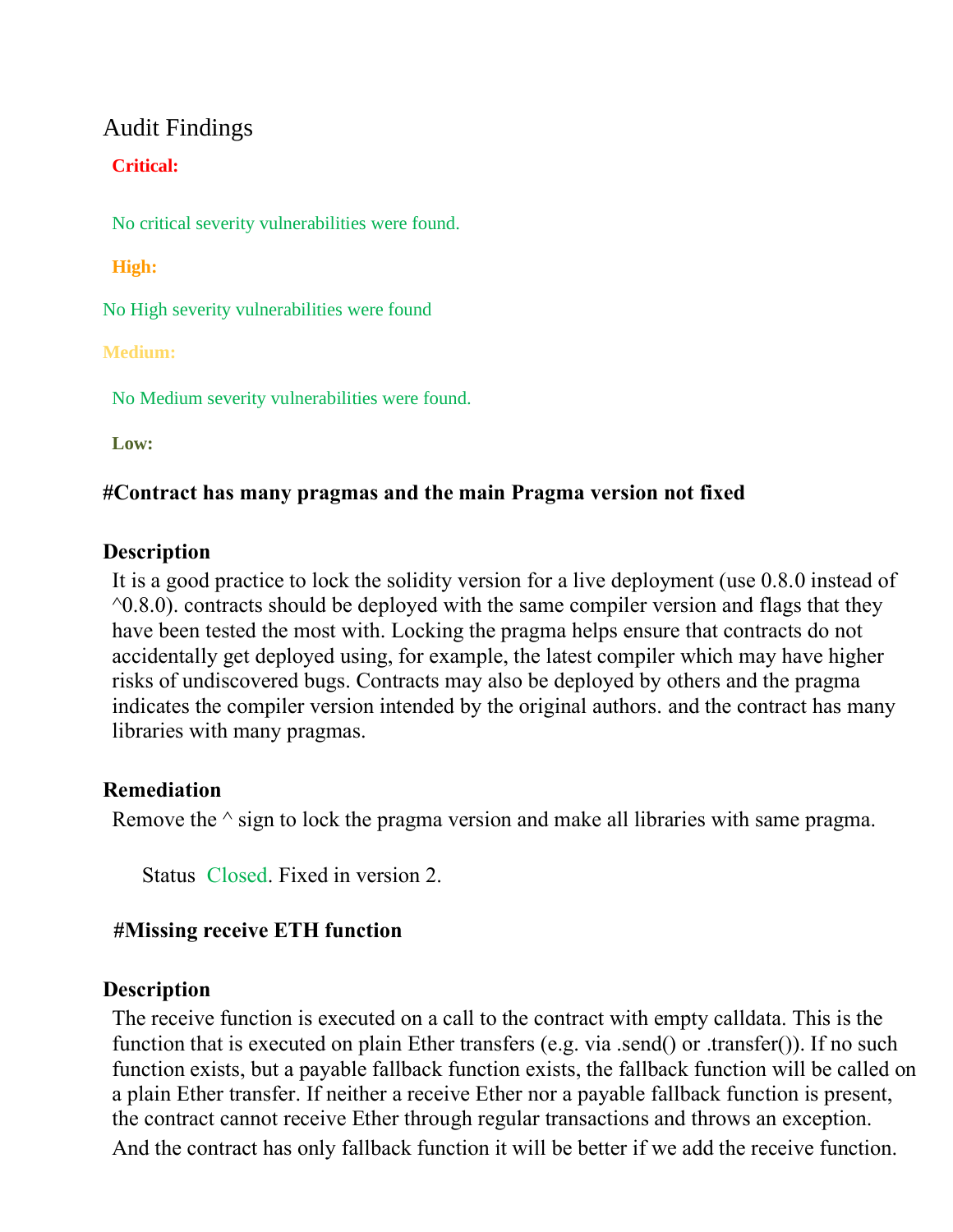#### Audit Findings

#### **Critical:**

No critical severity vulnerabilities were found.

#### **High:**

No High severity vulnerabilities were found

#### **Medium:**

No Medium severity vulnerabilities were found.

**Low:**

#### **#Contract has many pragmas and the main Pragma version not fixed**

#### **Description**

It is a good practice to lock the solidity version for a live deployment (use 0.8.0 instead of  $\textdegree$ 0.8.0). contracts should be deployed with the same compiler version and flags that they have been tested the most with. Locking the pragma helps ensure that contracts do not accidentally get deployed using, for example, the latest compiler which may have higher risks of undiscovered bugs. Contracts may also be deployed by others and the pragma indicates the compiler version intended by the original authors. and the contract has many libraries with many pragmas.

#### **Remediation**

Remove the  $\wedge$  sign to lock the pragma version and make all libraries with same pragma.

Status: Closed. Fixed in version 2.

#### **##Missing receive ETH function**

#### **Description**

The receive function is executed on a call to the contract with empty calldata. This is the function that is executed on plain Ether transfers (e.g. via .send() or .transfer()). If no such function exists, but a payable fallback function exists, the fallback function will be called on a plain Ether transfer. If neither a receive Ether nor a payable fallback function is present, the contract cannot receive Ether through regular transactions and throws an exception. And the contract has only fallback function it will be better if we add the receive function.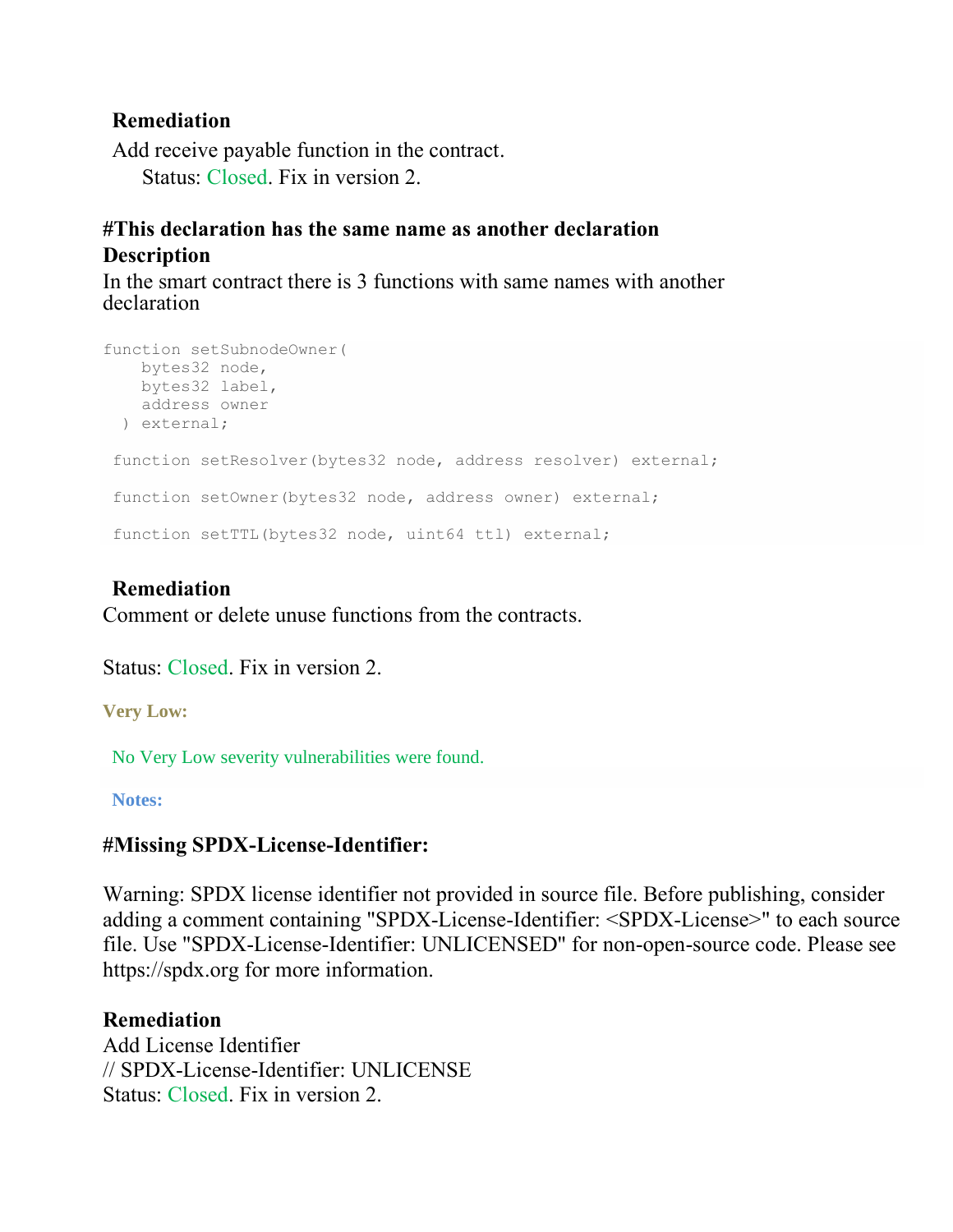#### **Remediation**

Add receive payable function in the contract. Status: Closed. Fix in version 2.

#### **#This declaration has the same name as another declaration Description**

In the smart contract there is 3 functions with same names with another declaration

```
function setSubnodeOwner(
   bytes32 node,
  bytes32 label,
  address owner
  ) external;
function setResolver(bytes32 node, address resolver) external;
function setOwner(bytes32 node, address owner) external;
function setTTL(bytes32 node, uint64 ttl) external;
```
#### **Remediation**

Comment or delete unuse functions from the contracts.

Status: Closed. Fix in version 2.

**Very Low:**

No Very Low severity vulnerabilities were found.

**Notes:**

#### **#Missing SPDX-License-Identifier:**

Warning: SPDX license identifier not provided in source file. Before publishing, consider adding a comment containing "SPDX-License-Identifier: <SPDX-License>" to each source file. Use "SPDX-License-Identifier: UNLICENSED" for non-open-source code. Please see https://spdx.org for more information.

#### **Remediation**

Add License Identifier // SPDX-License-Identifier: UNLICENSE Status: Closed. Fix in version 2.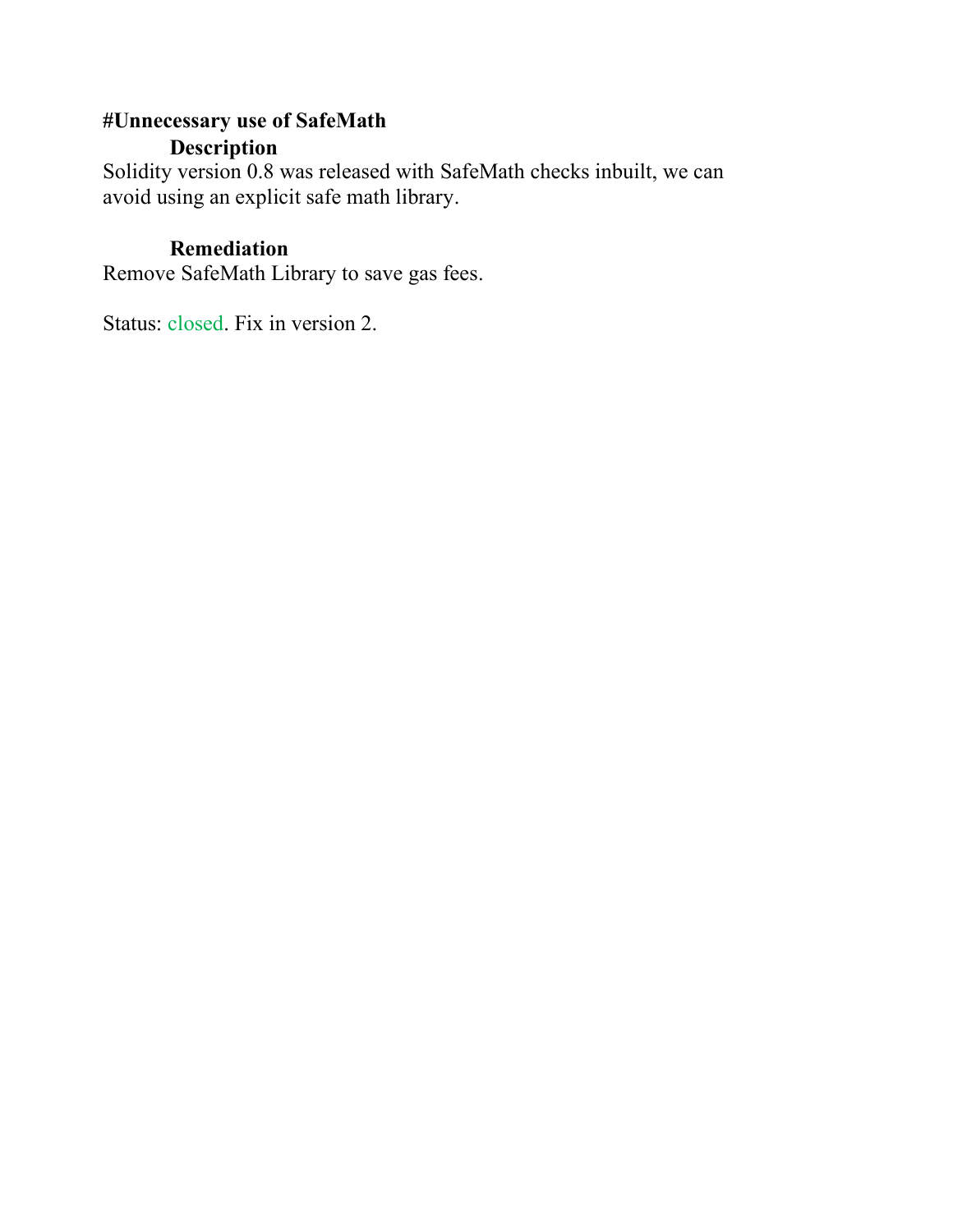#### **#Unnecessary use of SafeMath Description**

Solidity version 0.8 was released with SafeMath checks inbuilt, we can avoid using an explicit safe math library.

#### **Remediation**

Remove SafeMath Library to save gas fees.

Status: closed. Fix in version 2.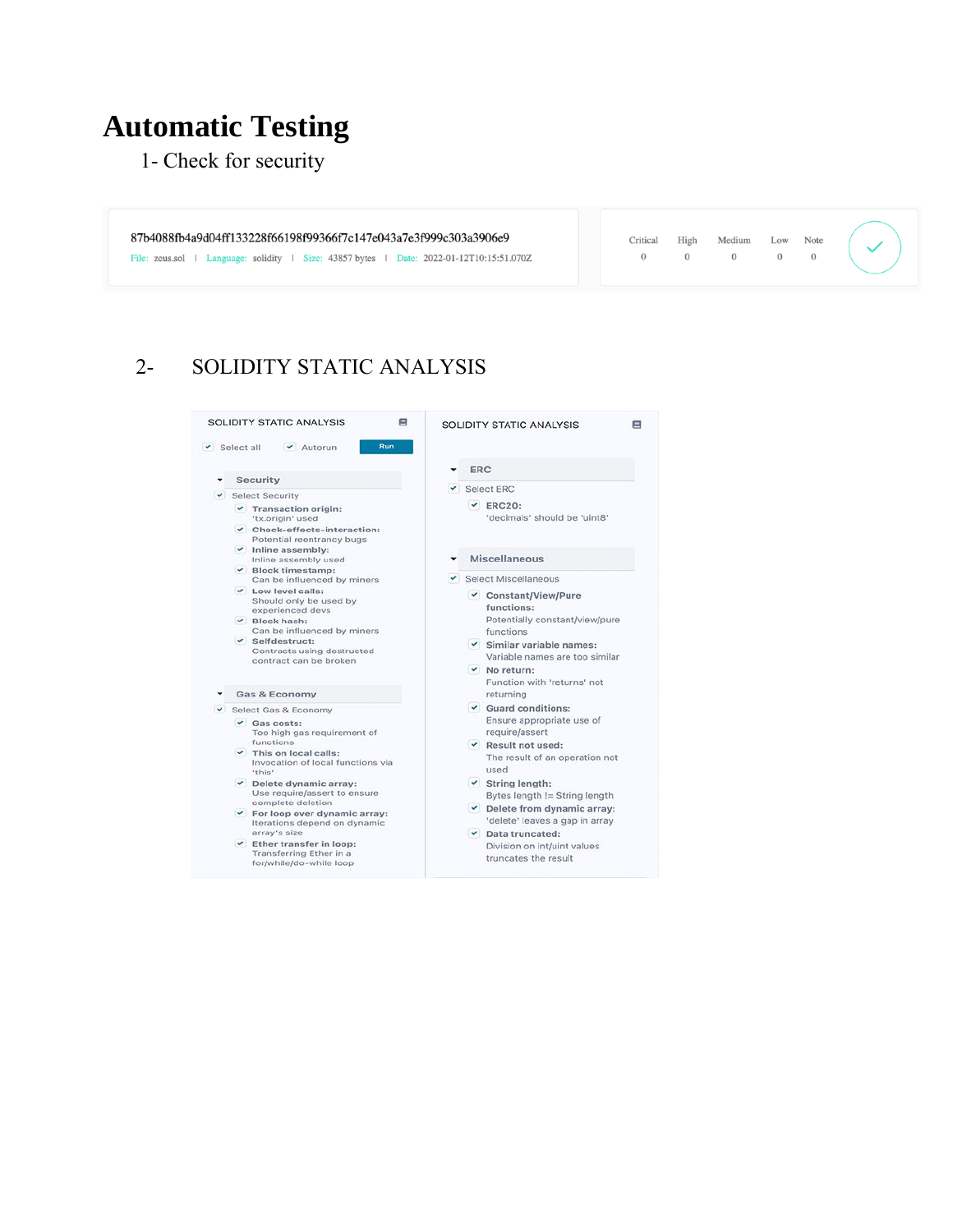# **Automatic Testing**

1- Check for security

87b4088fb4a9d04ff133228f66198f99366f7c147e043a7e3f999c303a3906e9

File: zeus.sol | Language: solidity | Size: 43857 bytes | Date: 2022-01-12T10:15:51.070Z

Critical High Medium Low Note  $\begin{matrix} 0 & 0 & 0 & 0 \end{matrix} \qquad \begin{matrix} 0 & 0 & 0 \end{matrix}$ 

### 2- SOLIDITY STATIC ANALYSIS

| Run<br>$\checkmark$ Select all<br>Autorun                                                                                                                                                                                                                                                                                                                                                                                                    |                                                                                                                                                                                                                                                                                                                                            |
|----------------------------------------------------------------------------------------------------------------------------------------------------------------------------------------------------------------------------------------------------------------------------------------------------------------------------------------------------------------------------------------------------------------------------------------------|--------------------------------------------------------------------------------------------------------------------------------------------------------------------------------------------------------------------------------------------------------------------------------------------------------------------------------------------|
|                                                                                                                                                                                                                                                                                                                                                                                                                                              | <b>ERC</b>                                                                                                                                                                                                                                                                                                                                 |
| <b>Security</b>                                                                                                                                                                                                                                                                                                                                                                                                                              | $\vee$ Select ERC                                                                                                                                                                                                                                                                                                                          |
| <b>Select Security</b><br>$\sim$<br>▼ Transaction origin:<br>'tx.origin' used<br>Check-effects-interaction:<br>Potential reentrancy bugs                                                                                                                                                                                                                                                                                                     | $\vee$ ERC20:<br>'decimals' should be 'uint8'                                                                                                                                                                                                                                                                                              |
| $\checkmark$ Inline assembly:<br>Inline assembly used<br>$\vee$ Block timestamp:                                                                                                                                                                                                                                                                                                                                                             | Miscellaneous                                                                                                                                                                                                                                                                                                                              |
| Can be influenced by miners                                                                                                                                                                                                                                                                                                                                                                                                                  | Select Miscellaneous                                                                                                                                                                                                                                                                                                                       |
| $\vee$ Low level calls:<br>Should only be used by<br>experienced devs<br>$\vee$ Block hash:<br>Can be influenced by miners<br>$\checkmark$ Selfdestruct:<br>Contracts using destructed<br>contract can be broken                                                                                                                                                                                                                             | ✔ Constant/View/Pure<br>functions:<br>Potentially constant/view/pure<br>functions<br>$\checkmark$ Similar variable names:<br>Variable names are too similar<br>$\vee$ No return:<br>Function with 'returns' not                                                                                                                            |
| Gas & Economy                                                                                                                                                                                                                                                                                                                                                                                                                                | returning                                                                                                                                                                                                                                                                                                                                  |
| Select Gas & Economy<br>$\vee$ Gas costs:<br>Too high gas requirement of<br>functions<br>$\checkmark$ This on local calls:<br>Invocation of local functions via<br>'this'<br>$\vee$ Delete dynamic array:<br>Use require/assert to ensure<br>complete deletion<br>$\checkmark$ For loop over dynamic array:<br>Iterations depend on dynamic<br>array's size<br>Ether transfer in loop:<br>Transferring Ether in a<br>for/while/do-while loop | Guard conditions:<br>Ensure appropriate use of<br>require/assert<br>▼ Result not used:<br>The result of an operation not<br>used<br>$\checkmark$ String length:<br>Bytes length != String length<br>Delete from dynamic array:<br>'delete' leaves a gap in array<br>Data truncated:<br>Division on int/uint values<br>truncates the result |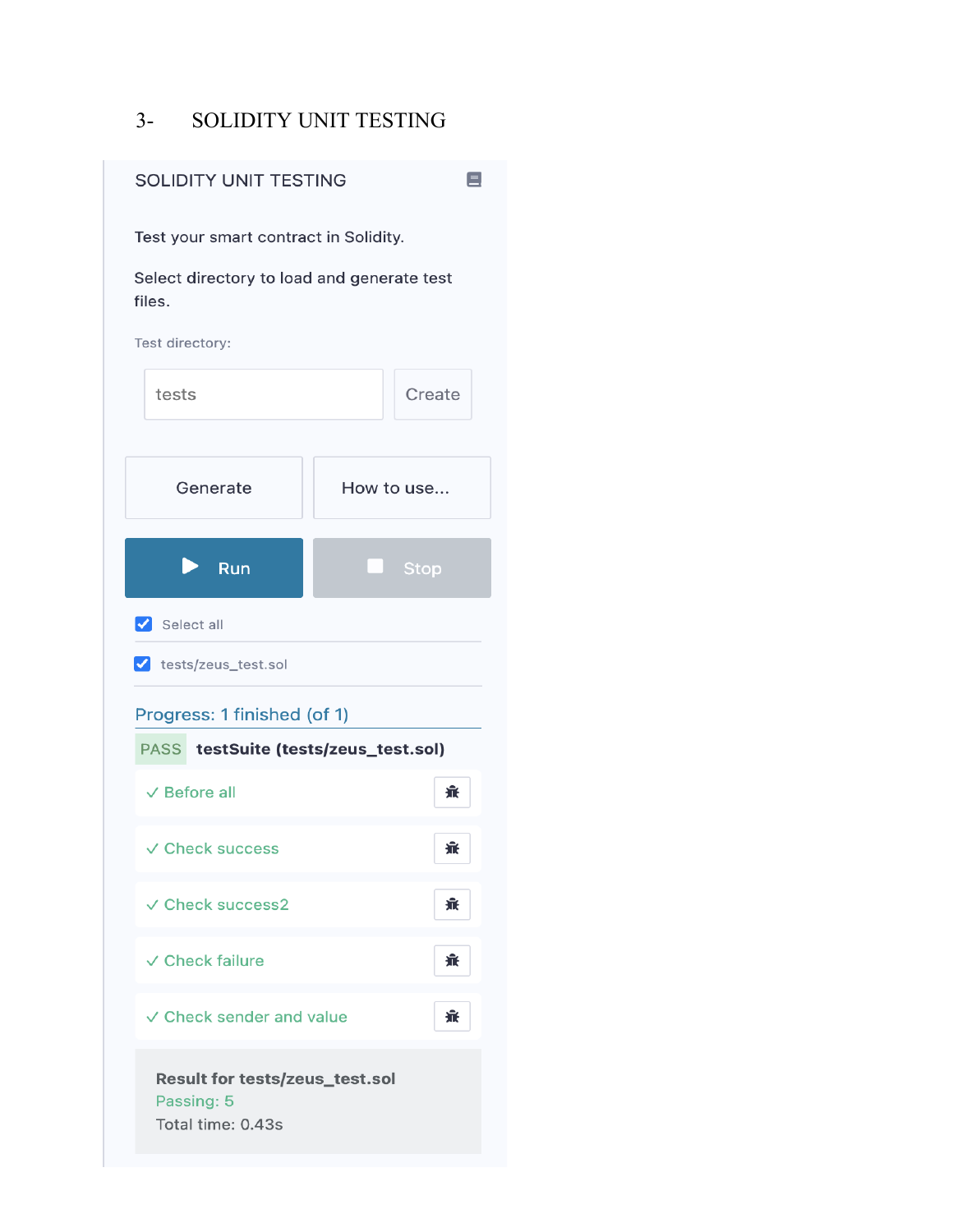#### - SOLIDITY UNIT TESTING

| <b>SOLIDITY UNIT TESTING</b>                                      | Ξ                               |
|-------------------------------------------------------------------|---------------------------------|
| Test your smart contract in Solidity.                             |                                 |
| Select directory to load and generate test<br>files.              |                                 |
| Test directory:                                                   |                                 |
| tests                                                             | Create                          |
|                                                                   |                                 |
| Generate                                                          | How to use                      |
| Run                                                               | <b>Stop</b>                     |
| $\triangledown$ Select all                                        |                                 |
| v tests/zeus_test.sol                                             |                                 |
| Progress: 1 finished (of 1)                                       |                                 |
| <b>PASS</b>                                                       | testSuite (tests/zeus_test.sol) |
| $\vee$ Before all                                                 | 棄                               |
| √ Check success                                                   | 派                               |
| √ Check success2                                                  | 爺                               |
| $\vee$ Check failure                                              | 棄                               |
| ✓ Check sender and value                                          | մ                               |
| Result for tests/zeus_test.sol<br>Passing: 5<br>Total time: 0.43s |                                 |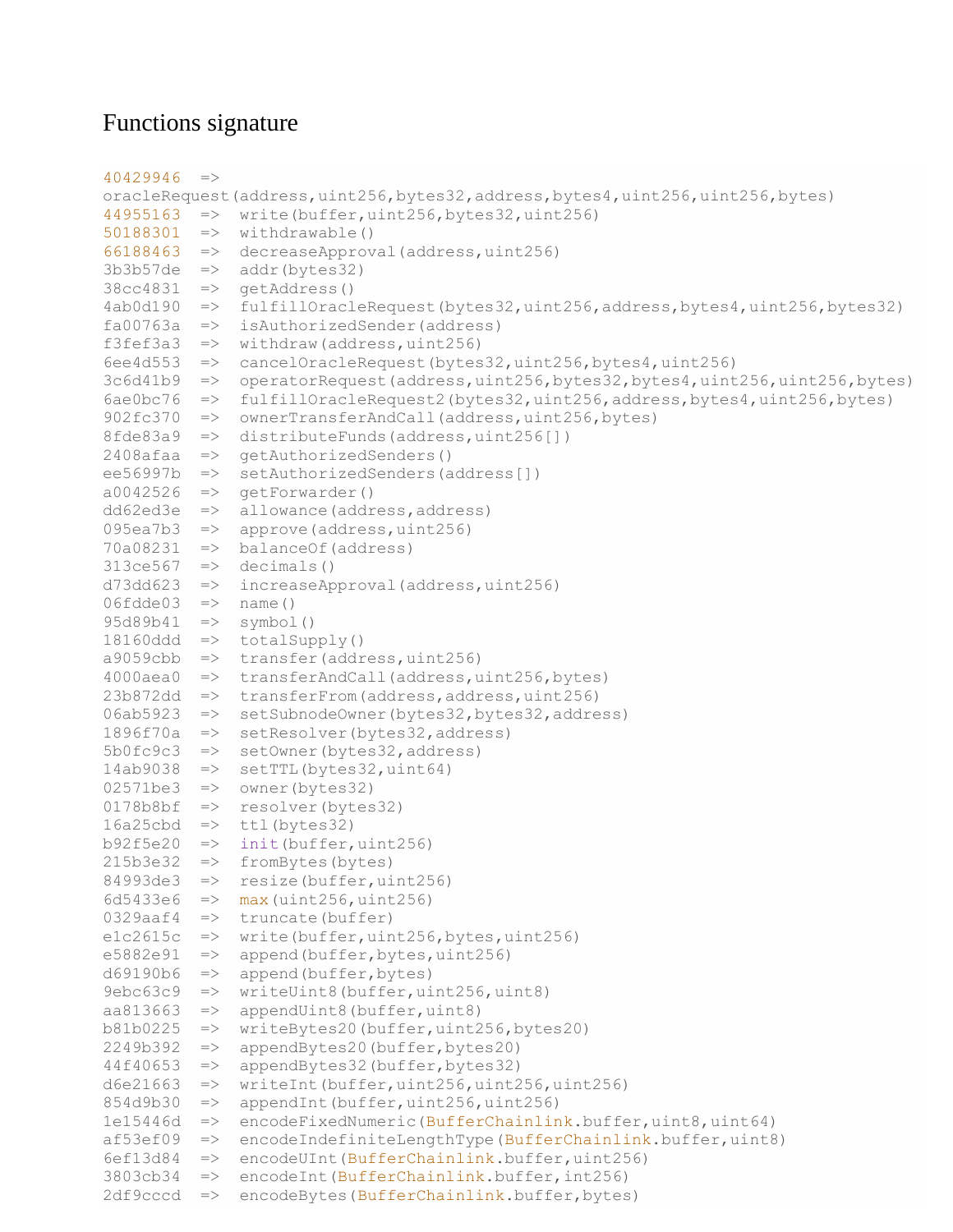#### Functions signature

```
40429946 =>
oracleRequest(address,uint256,bytes32,address,bytes4,uint256,uint256,bytes)
44955163 => write(buffer,uint256,bytes32,uint256)
50188301 => withdrawable()
66188463 => decreaseApproval(address,uint256)
3b3b57de \Rightarrow addr(bytes32)38cc4831 => getAddress()
4ab0d190 => fulfillOracleRequest(bytes32,uint256,address,bytes4,uint256,bytes32)
fa00763a => isAuthorizedSender(address)
f3fef3a3 \Rightarrow \text{without}(address,uint256)6ee4d553 => cancelOracleRequest(bytes32,uint256,bytes4,uint256)
3c6d41b9 => operatorRequest(address,uint256,bytes32,bytes4,uint256,uint256,bytes)
6ae0bc76 => fulfillOracleRequest2(bytes32,uint256,address,bytes4,uint256,bytes)
902fc370 => ownerTransferAndCall(address,uint256,bytes)
8fde83a9 => distributeFunds(address,uint256[])
2408afaa => qetAuthorizedSenders()
ee56997b => setAuthorizedSenders(address[])
a0042526 => getForwarder()
dd62ed3e => allowance(address,address)
095ea7b3 => approve(address,uint256)
70a08231 => balanceOf(address)
313ce567 => decimals()
d73dd623 => increaseApproval(address,uint256)
06fdde03 \implies name()95d89b41 => symbol()
18160ddd \Rightarrow totalSupply()a9059cbb \Rightarrow transfer(address,uint256)4000aea0 => transferAndCall(address,uint256,bytes)
23b872dd => transferFrom(address,address,uint256)
06ab5923 => setSubnodeOwner(bytes32,bytes32,address)
1896f70a => setResolver(bytes32,address)
5b0fc9c3 => setOwner(bytes32,address)
14ab9038 => setTTL(bytes32,uint64)
02571be3 => owner(bytes32)
0178b8bf => resolver(bytes32)
16a25cbd \Rightarrow tt1(bytes32)b92f5e20 => init(buffer, uint256)
215b3e32 => fromBytes(bytes)
84993de3 => resize(buffer, uint256)
6d5433e6 => max (uint256, uint256)
0329aaf4 => truncate(buffer)
e1c2615c => write(buffer,uint256,bytes,uint256)
e5882e91 => append(buffer,bytes,uint256)
d69190b6 => append(buffer,bytes)
9ebc63c9 => writeUint8(buffer,uint256,uint8)
aa813663 => appendUint8(buffer,uint8)
b81b0225 => writeBytes20(buffer,uint256,bytes20)
2249b392 => appendBytes20(buffer,bytes20)
44f40653 => appendBytes32(buffer,bytes32)
d6e21663 => writeInt(buffer,uint256,uint256,uint256)
854d9b30 => appendInt(buffer,uint256,uint256)
1e15446d => encodeFixedNumeric(BufferChainlink.buffer,uint8,uint64)
af53ef09 => encodeIndefiniteLengthType(BufferChainlink.buffer,uint8)
6ef13d84 => encodeUInt(BufferChainlink.buffer,uint256)
3803cb34 => encodeInt(BufferChainlink.buffer,int256)
2df9cccd => encodeBytes(BufferChainlink.buffer,bytes)
```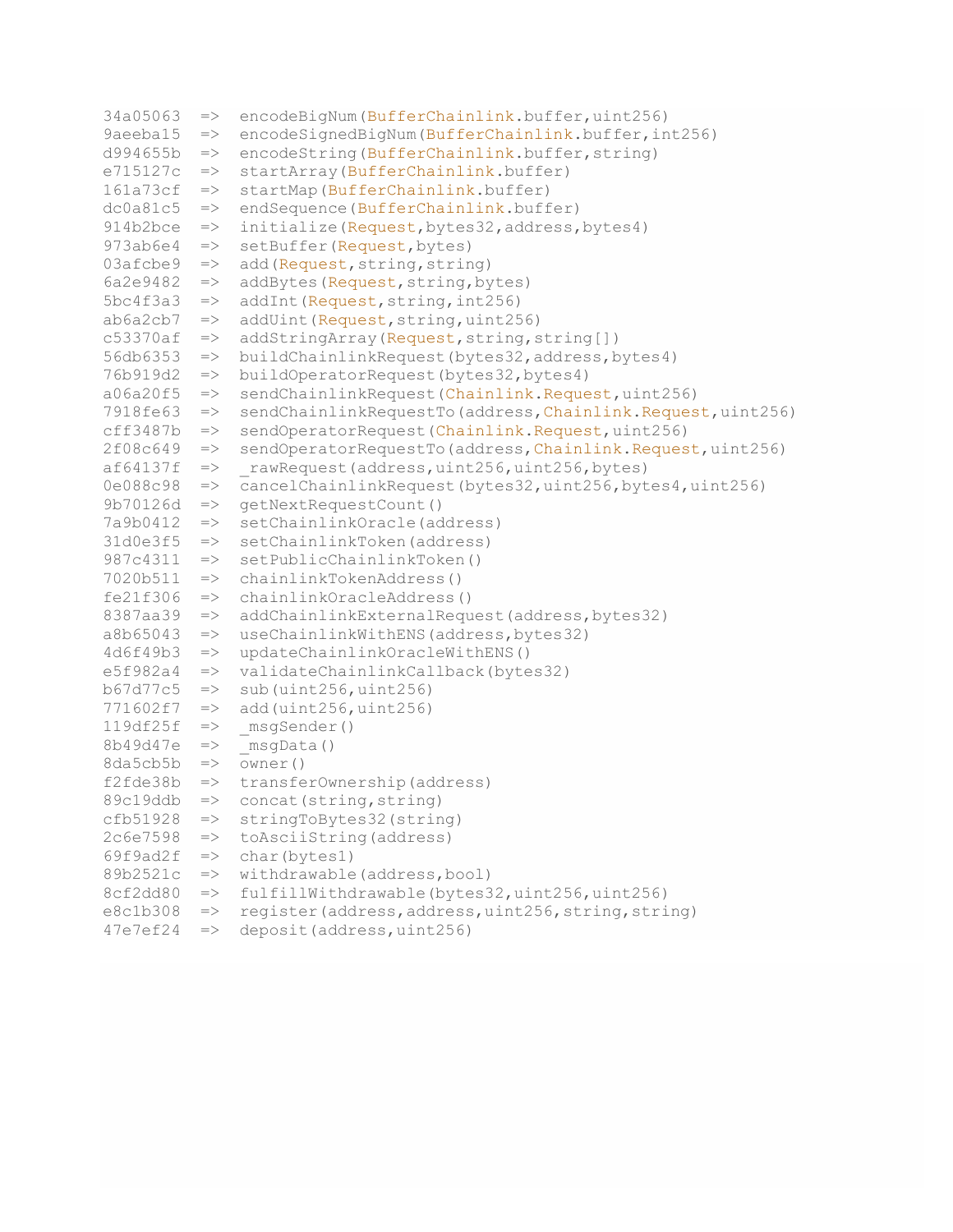```
34a05063 => encodeBigNum(BufferChainlink.buffer,uint256)
9aeeba15 => encodeSignedBigNum(BufferChainlink.buffer, int256)
d994655b => encodeString(BufferChainlink.buffer,string)
e715127c => startArray(BufferChainlink.buffer)
161a73cf => startMap(BufferChainlink.buffer)
dc0a81c5 \Rightarrow endSequence(BufferChainlink.buffer)914b2bce => initialize(Request, bytes32, address, bytes4)
973ab6e4 => setBuffer(Request, bytes)
03afcbe9 => add(Request, string, string)
6a2e9482 \Rightarrow addBytes(Request, string, bytes)5bc4f3a3 \Rightarrow addInt(Request, string, int256)ab6a2cb7 => addUnit(Request, string,uint256)c53370af \Rightarrow addStringArray(Request, string, string[])
56db6353 => buildChainlinkRequest(bytes32,address,bytes4)
76b919d2 => buildOperatorRequest(bytes32,bytes4)
a06a20f5 => sendChainlinkRequest(Chainlink.Request,uint256)
7918fe63 => sendChainlinkRequestTo(address, Chainlink.Request, uint256)
cff3487b => sendOperatorRequest(Chainlink.Request,uint256)
2f08c649 => sendOperatorRequestTo(address,Chainlink.Request,uint256)
af64137f => rawRequest(address,uint256,uint256,bytes)
0e088c98 => cancelChainlinkRequest(bytes32,uint256,bytes4,uint256)
9b70126d => getNextRequestCount()
7a9b0412 => setChainlinkOracle(address)
31d0e3f5 => setChainlinkToken(address)
987c4311 => setPublicChainlinkToken()
7020b511 => chainlinkTokenAddress()
fe21f306 => chainlinkOracleAddress()
8387aa39 => addChainlinkExternalRequest(address,bytes32)
a8b65043 => useChainlinkWithENS(address,bytes32)
4d6f49b3 => updateChainlinkOracleWithENS()
e5f982a4 => validateChainlinkCallback(bytes32)
b67d77c5 \Rightarrow sub(uint256,uint256)771602f7 => add(uint256,uint256)
119df25f => msgSender()
8b49d47e => \frac{1}{2} msgData()
8da5cb5b \Rightarrow \overline{owner}()f2fde38b => transferOwnership(address)
89c19ddb => concat(string, string)
cfb51928 => stringToBytes32(string)
2c6e7598 => toAsciiString(address)
69f9ad2f => char(bytes1)
89b2521c => withdrawable(address,bool)
8cf2dd80 => fulfillWithdrawable(bytes32,uint256,uint256)
e8c1b308 => register(address, address, uint256, string, string)
47e7ef24 => deposit(address,uint256)
```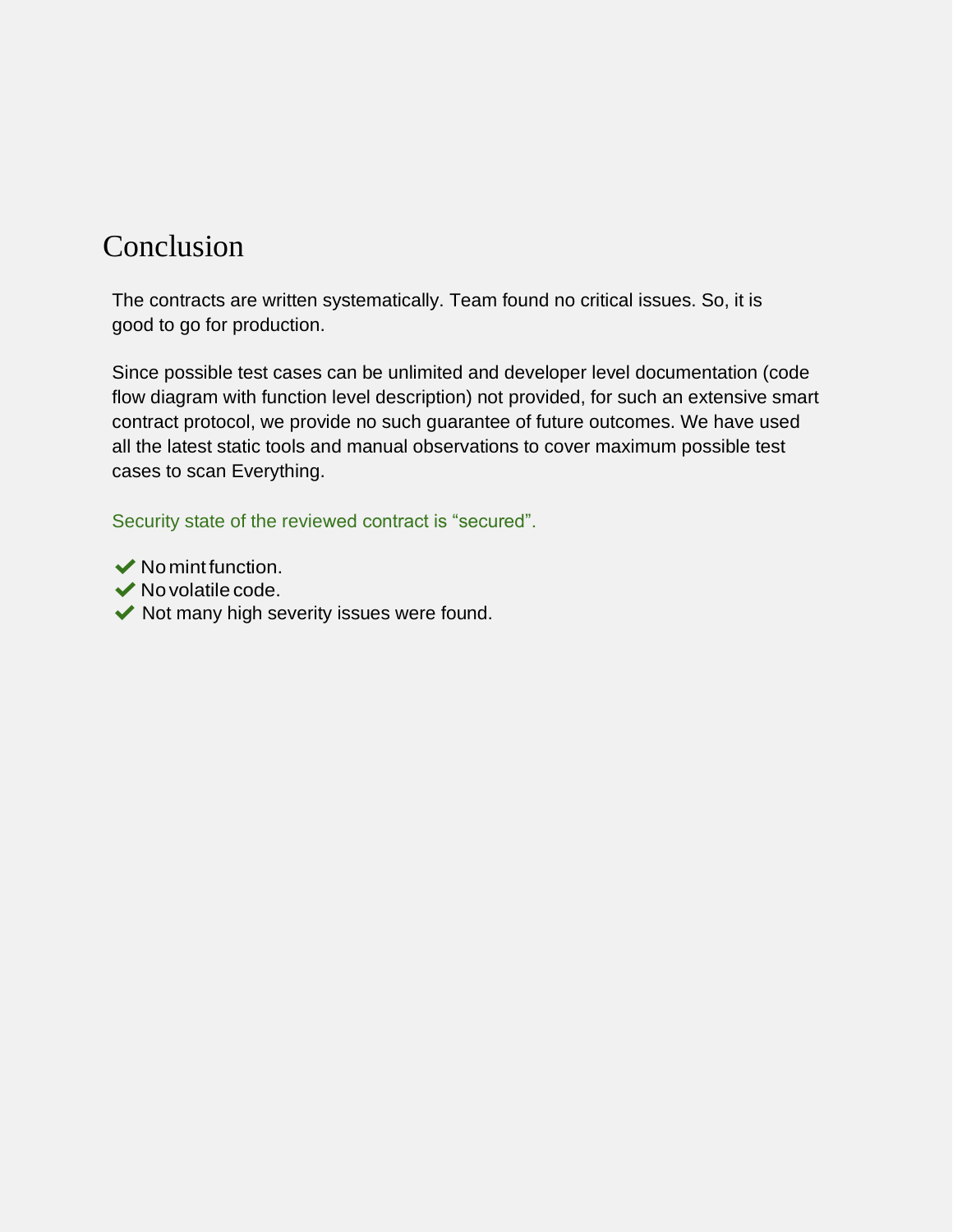## Conclusion

The contracts are written systematically. Team found no critical issues. So, it is good to go for production.

Since possible test cases can be unlimited and developer level documentation (code flow diagram with function level description) not provided, for such an extensive smart contract protocol, we provide no such guarantee of future outcomes. We have used all the latest static tools and manual observations to cover maximum possible test cases to scan Everything.

Security state of the reviewed contract is "secured".

- $\vee$  No mint function.
- $\blacktriangleright$  No volatile code.
- $\blacktriangleright$  Not many high severity issues were found.